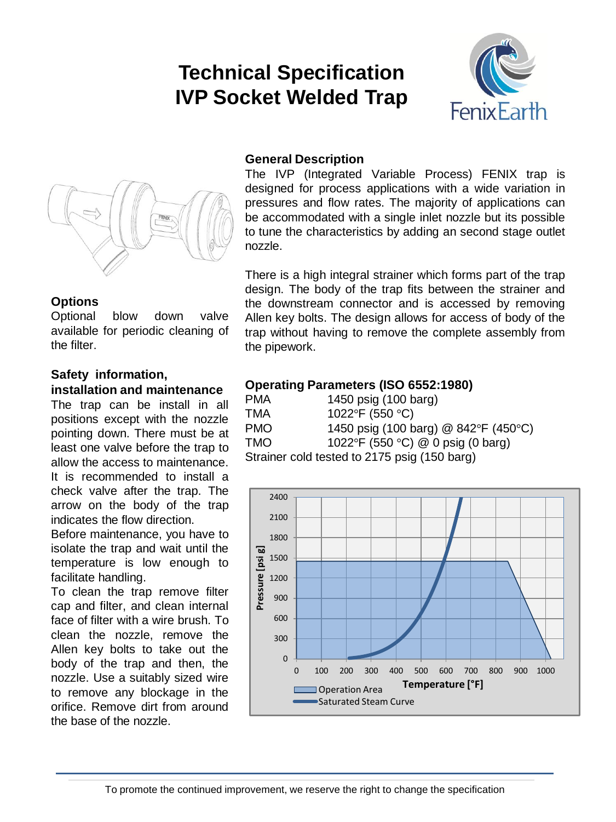# **Technical Specification IVP Socket Welded Trap**





#### **Options**

Optional blow down valve available for periodic cleaning of the filter.

#### **Safety information, installation and maintenance**

The trap can be install in all positions except with the nozzle pointing down. There must be at least one valve before the trap to allow the access to maintenance. It is recommended to install a check valve after the trap. The arrow on the body of the trap indicates the flow direction.

Before maintenance, you have to isolate the trap and wait until the temperature is low enough to facilitate handling.

To clean the trap remove filter cap and filter, and clean internal face of filter with a wire brush. To clean the nozzle, remove the Allen key bolts to take out the body of the trap and then, the nozzle. Use a suitably sized wire to remove any blockage in the orifice. Remove dirt from around the base of the nozzle.

#### **General Description**

The IVP (Integrated Variable Process) FENIX trap is designed for process applications with a wide variation in pressures and flow rates. The majority of applications can be accommodated with a single inlet nozzle but its possible to tune the characteristics by adding an second stage outlet nozzle.

There is a high integral strainer which forms part of the trap design. The body of the trap fits between the strainer and the downstream connector and is accessed by removing Allen key bolts. The design allows for access of body of the trap without having to remove the complete assembly from the pipework.

### **Operating Parameters (ISO 6552:1980)**

| <b>PMA</b>                                   | 1450 psig (100 barg)                 |  |  |  |
|----------------------------------------------|--------------------------------------|--|--|--|
| TMA                                          | 1022°F (550 °C)                      |  |  |  |
| <b>PMO</b>                                   | 1450 psig (100 barg) @ 842°F (450°C) |  |  |  |
| <b>TMO</b>                                   | 1022°F (550 °C) @ 0 psig (0 barg)    |  |  |  |
| Strainer cold tested to 2175 psig (150 barg) |                                      |  |  |  |